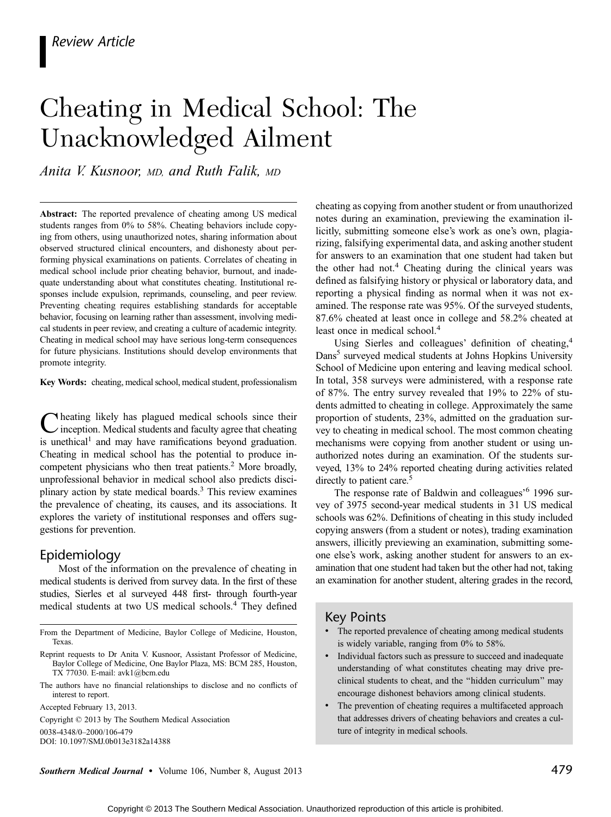# Cheating in Medical School: The Unacknowledged Ailment

Anita V. Kusnoor, MD, and Ruth Falik, MD

Abstract: The reported prevalence of cheating among US medical students ranges from 0% to 58%. Cheating behaviors include copying from others, using unauthorized notes, sharing information about observed structured clinical encounters, and dishonesty about performing physical examinations on patients. Correlates of cheating in medical school include prior cheating behavior, burnout, and inadequate understanding about what constitutes cheating. Institutional responses include expulsion, reprimands, counseling, and peer review. Preventing cheating requires establishing standards for acceptable behavior, focusing on learning rather than assessment, involving medical students in peer review, and creating a culture of academic integrity. Cheating in medical school may have serious long-term consequences for future physicians. Institutions should develop environments that promote integrity.

Key Words: cheating, medical school, medical student, professionalism

Cheating likely has plagued medical schools since their<br>inception. Medical students and faculty agree that cheating is unethical<sup>1</sup> and may have ramifications beyond graduation. Cheating in medical school has the potential to produce incompetent physicians who then treat patients.<sup>2</sup> More broadly, unprofessional behavior in medical school also predicts disciplinary action by state medical boards.3 This review examines the prevalence of cheating, its causes, and its associations. It explores the variety of institutional responses and offers suggestions for prevention.

# Epidemiology

Most of the information on the prevalence of cheating in medical students is derived from survey data. In the first of these studies, Sierles et al surveyed 448 first- through fourth-year medical students at two US medical schools.4 They defined

From the Department of Medicine, Baylor College of Medicine, Houston, Texas.

- Reprint requests to Dr Anita V. Kusnoor, Assistant Professor of Medicine, Baylor College of Medicine, One Baylor Plaza, MS: BCM 285, Houston, TX 77030. E-mail: avk1@bcm.edu
- The authors have no financial relationships to disclose and no conflicts of interest to report.

Accepted February 13, 2013.

Copyright  $@$  2013 by The Southern Medical Association

0038-4348/0-2000/106-479

DOI: 10.1097/SMJ.0b013e3182a14388

cheating as copying from another student or from unauthorized notes during an examination, previewing the examination illicitly, submitting someone else's work as one's own, plagiarizing, falsifying experimental data, and asking another student for answers to an examination that one student had taken but the other had not.<sup>4</sup> Cheating during the clinical years was defined as falsifying history or physical or laboratory data, and reporting a physical finding as normal when it was not examined. The response rate was 95%. Of the surveyed students, 87.6% cheated at least once in college and 58.2% cheated at least once in medical school.<sup>4</sup>

Using Sierles and colleagues' definition of cheating,<sup>4</sup> Dans<sup>5</sup> surveyed medical students at Johns Hopkins University School of Medicine upon entering and leaving medical school. In total, 358 surveys were administered, with a response rate of 87%. The entry survey revealed that 19% to 22% of students admitted to cheating in college. Approximately the same proportion of students, 23%, admitted on the graduation survey to cheating in medical school. The most common cheating mechanisms were copying from another student or using unauthorized notes during an examination. Of the students surveyed, 13% to 24% reported cheating during activities related directly to patient care.<sup>5</sup>

The response rate of Baldwin and colleagues'<sup>6</sup> 1996 survey of 3975 second-year medical students in 31 US medical schools was 62%. Definitions of cheating in this study included copying answers (from a student or notes), trading examination answers, illicitly previewing an examination, submitting someone else's work, asking another student for answers to an examination that one student had taken but the other had not, taking an examination for another student, altering grades in the record,

## Key Points

- The reported prevalence of cheating among medical students is widely variable, ranging from 0% to 58%.
- Individual factors such as pressure to succeed and inadequate understanding of what constitutes cheating may drive preclinical students to cheat, and the ''hidden curriculum'' may encourage dishonest behaviors among clinical students.
- The prevention of cheating requires a multifaceted approach that addresses drivers of cheating behaviors and creates a culture of integrity in medical schools.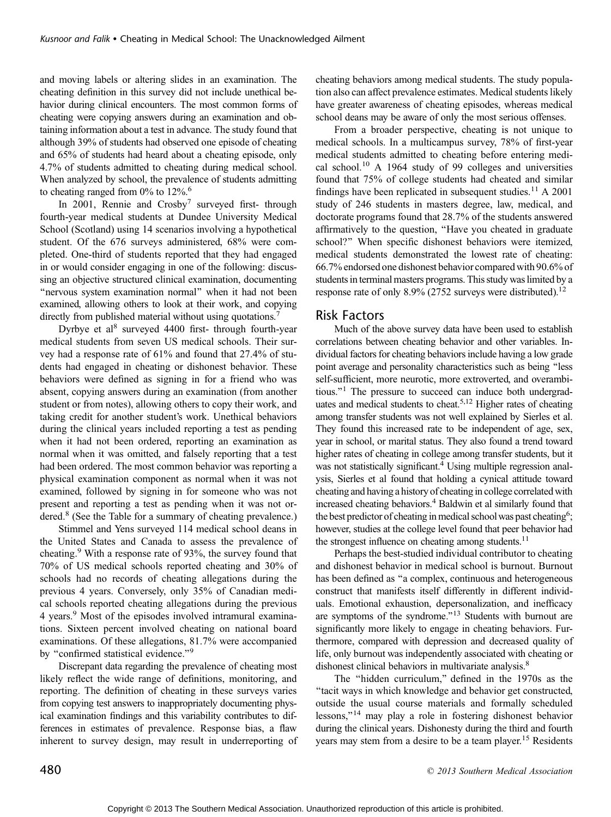and moving labels or altering slides in an examination. The cheating definition in this survey did not include unethical behavior during clinical encounters. The most common forms of cheating were copying answers during an examination and obtaining information about a test in advance. The study found that although 39% of students had observed one episode of cheating and 65% of students had heard about a cheating episode, only 4.7% of students admitted to cheating during medical school. When analyzed by school, the prevalence of students admitting to cheating ranged from  $0\%$  to  $12\%$ .<sup>6</sup>

In 2001, Rennie and Crosby<sup>7</sup> surveyed first- through fourth-year medical students at Dundee University Medical School (Scotland) using 14 scenarios involving a hypothetical student. Of the 676 surveys administered, 68% were completed. One-third of students reported that they had engaged in or would consider engaging in one of the following: discussing an objective structured clinical examination, documenting "nervous system examination normal" when it had not been examined, allowing others to look at their work, and copying directly from published material without using quotations.<sup>7</sup>

Dyrbye et al<sup>8</sup> surveyed 4400 first- through fourth-year medical students from seven US medical schools. Their survey had a response rate of 61% and found that 27.4% of students had engaged in cheating or dishonest behavior. These behaviors were defined as signing in for a friend who was absent, copying answers during an examination (from another student or from notes), allowing others to copy their work, and taking credit for another student's work. Unethical behaviors during the clinical years included reporting a test as pending when it had not been ordered, reporting an examination as normal when it was omitted, and falsely reporting that a test had been ordered. The most common behavior was reporting a physical examination component as normal when it was not examined, followed by signing in for someone who was not present and reporting a test as pending when it was not ordered.<sup>8</sup> (See the Table for a summary of cheating prevalence.)

Stimmel and Yens surveyed 114 medical school deans in the United States and Canada to assess the prevalence of cheating.<sup>9</sup> With a response rate of 93%, the survey found that 70% of US medical schools reported cheating and 30% of schools had no records of cheating allegations during the previous 4 years. Conversely, only 35% of Canadian medical schools reported cheating allegations during the previous 4 years.9 Most of the episodes involved intramural examinations. Sixteen percent involved cheating on national board examinations. Of these allegations, 81.7% were accompanied by "confirmed statistical evidence."<sup>9</sup>

Discrepant data regarding the prevalence of cheating most likely reflect the wide range of definitions, monitoring, and reporting. The definition of cheating in these surveys varies from copying test answers to inappropriately documenting physical examination findings and this variability contributes to differences in estimates of prevalence. Response bias, a flaw inherent to survey design, may result in underreporting of cheating behaviors among medical students. The study population also can affect prevalence estimates. Medical students likely have greater awareness of cheating episodes, whereas medical school deans may be aware of only the most serious offenses.

From a broader perspective, cheating is not unique to medical schools. In a multicampus survey, 78% of first-year medical students admitted to cheating before entering medical school.<sup>10</sup> A 1964 study of 99 colleges and universities found that 75% of college students had cheated and similar findings have been replicated in subsequent studies.<sup>11</sup> A 2001 study of 246 students in masters degree, law, medical, and doctorate programs found that 28.7% of the students answered affirmatively to the question, ''Have you cheated in graduate school?'' When specific dishonest behaviors were itemized, medical students demonstrated the lowest rate of cheating: 66.7% endorsed one dishonest behavior compared with 90.6% of students in terminal masters programs. This study was limited by a response rate of only 8.9% (2752 surveys were distributed).<sup>12</sup>

### Risk Factors

Much of the above survey data have been used to establish correlations between cheating behavior and other variables. Individual factors for cheating behaviors include having a low grade point average and personality characteristics such as being ''less self-sufficient, more neurotic, more extroverted, and overambitious.''1 The pressure to succeed can induce both undergraduates and medical students to cheat.<sup>5,12</sup> Higher rates of cheating among transfer students was not well explained by Sierles et al. They found this increased rate to be independent of age, sex, year in school, or marital status. They also found a trend toward higher rates of cheating in college among transfer students, but it was not statistically significant.<sup>4</sup> Using multiple regression analysis, Sierles et al found that holding a cynical attitude toward cheating and having a history of cheating in college correlated with increased cheating behaviors.4 Baldwin et al similarly found that the best predictor of cheating in medical school was past cheating<sup>6</sup>; however, studies at the college level found that peer behavior had the strongest influence on cheating among students.<sup>11</sup>

Perhaps the best-studied individual contributor to cheating and dishonest behavior in medical school is burnout. Burnout has been defined as ''a complex, continuous and heterogeneous construct that manifests itself differently in different individuals. Emotional exhaustion, depersonalization, and inefficacy are symptoms of the syndrome."<sup>13</sup> Students with burnout are significantly more likely to engage in cheating behaviors. Furthermore, compared with depression and decreased quality of life, only burnout was independently associated with cheating or dishonest clinical behaviors in multivariate analysis.<sup>8</sup>

The "hidden curriculum," defined in the 1970s as the ''tacit ways in which knowledge and behavior get constructed, outside the usual course materials and formally scheduled lessons,''<sup>14</sup> may play a role in fostering dishonest behavior during the clinical years. Dishonesty during the third and fourth years may stem from a desire to be a team player.<sup>15</sup> Residents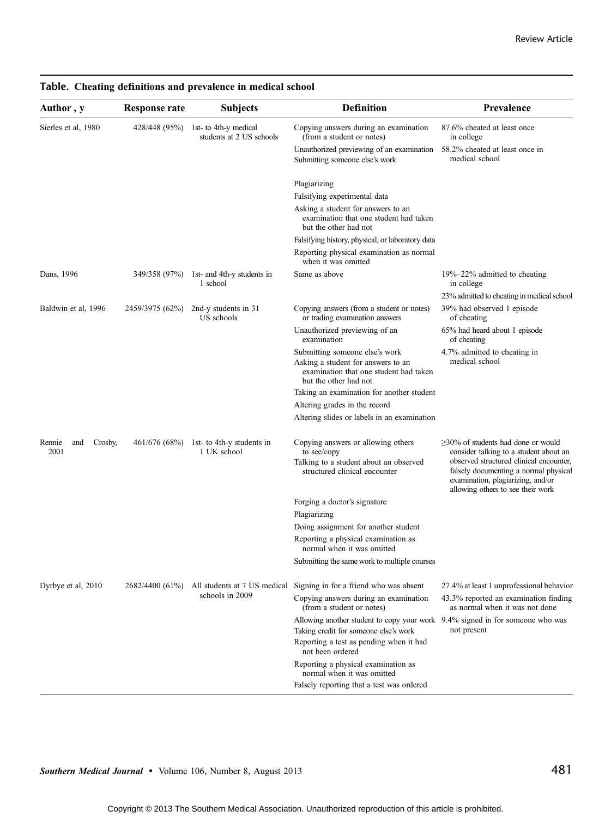| Author, y                        | <b>Response rate</b> | <b>Subjects</b>                                   | <b>Definition</b>                                                                                                                       | Prevalence                                                                                                                                                                                                                                       |
|----------------------------------|----------------------|---------------------------------------------------|-----------------------------------------------------------------------------------------------------------------------------------------|--------------------------------------------------------------------------------------------------------------------------------------------------------------------------------------------------------------------------------------------------|
| Sierles et al, 1980              | 428/448 (95%)        | 1st- to 4th-y medical<br>students at 2 US schools | Copying answers during an examination<br>(from a student or notes)                                                                      | 87.6% cheated at least once<br>in college                                                                                                                                                                                                        |
|                                  |                      |                                                   | Unauthorized previewing of an examination<br>Submitting someone else's work                                                             | 58.2% cheated at least once in<br>medical school                                                                                                                                                                                                 |
|                                  |                      |                                                   | Plagiarizing                                                                                                                            |                                                                                                                                                                                                                                                  |
|                                  |                      |                                                   | Falsifying experimental data                                                                                                            |                                                                                                                                                                                                                                                  |
|                                  |                      |                                                   | Asking a student for answers to an<br>examination that one student had taken<br>but the other had not                                   |                                                                                                                                                                                                                                                  |
|                                  |                      |                                                   | Falsifying history, physical, or laboratory data                                                                                        |                                                                                                                                                                                                                                                  |
|                                  |                      |                                                   | Reporting physical examination as normal<br>when it was omitted                                                                         |                                                                                                                                                                                                                                                  |
| Dans, 1996                       | 349/358 (97%)        | 1st- and 4th-y students in<br>1 school            | Same as above                                                                                                                           | $19\% - 22\%$ admitted to cheating<br>in college                                                                                                                                                                                                 |
|                                  |                      |                                                   |                                                                                                                                         | 23% admitted to cheating in medical school                                                                                                                                                                                                       |
| Baldwin et al, 1996              | 2459/3975 (62%)      | 2nd-y students in 31<br>US schools                | Copying answers (from a student or notes)<br>or trading examination answers                                                             | 39% had observed 1 episode<br>of cheating                                                                                                                                                                                                        |
|                                  |                      |                                                   | Unauthorized previewing of an<br>examination                                                                                            | 65% had heard about 1 episode<br>of cheating                                                                                                                                                                                                     |
|                                  |                      |                                                   | Submitting someone else's work<br>Asking a student for answers to an<br>examination that one student had taken<br>but the other had not | 4.7% admitted to cheating in<br>medical school                                                                                                                                                                                                   |
|                                  |                      |                                                   | Taking an examination for another student                                                                                               |                                                                                                                                                                                                                                                  |
|                                  |                      |                                                   | Altering grades in the record                                                                                                           |                                                                                                                                                                                                                                                  |
|                                  |                      |                                                   | Altering slides or labels in an examination                                                                                             |                                                                                                                                                                                                                                                  |
| Rennie<br>and<br>Crosby,<br>2001 | 461/676 (68%)        | 1st- to 4th-y students in<br>1 UK school          | Copying answers or allowing others<br>to see/copy<br>Talking to a student about an observed<br>structured clinical encounter            | $\geq$ 30% of students had done or would<br>consider talking to a student about an<br>observed structured clinical encounter,<br>falsely documenting a normal physical<br>examination, plagiarizing, and/or<br>allowing others to see their work |
|                                  |                      |                                                   | Forging a doctor's signature                                                                                                            |                                                                                                                                                                                                                                                  |
|                                  |                      |                                                   | Plagiarizing                                                                                                                            |                                                                                                                                                                                                                                                  |
|                                  |                      |                                                   | Doing assignment for another student                                                                                                    |                                                                                                                                                                                                                                                  |
|                                  |                      |                                                   | Reporting a physical examination as<br>normal when it was omitted                                                                       |                                                                                                                                                                                                                                                  |
|                                  |                      |                                                   | Submitting the same work to multiple courses                                                                                            |                                                                                                                                                                                                                                                  |
| Dyrbye et al, 2010               |                      | $2682/4400$ (61%) All students at 7 US medical    | Signing in for a friend who was absent                                                                                                  | 27.4% at least 1 unprofessional behavior                                                                                                                                                                                                         |
|                                  |                      | schools in 2009                                   | Copying answers during an examination<br>(from a student or notes)                                                                      | 43.3% reported an examination finding<br>as normal when it was not done                                                                                                                                                                          |
|                                  |                      |                                                   | Allowing another student to copy your work 9.4% signed in for someone who was                                                           |                                                                                                                                                                                                                                                  |
|                                  |                      |                                                   | Taking credit for someone else's work<br>Reporting a test as pending when it had<br>not been ordered                                    | not present                                                                                                                                                                                                                                      |
|                                  |                      |                                                   | Reporting a physical examination as<br>normal when it was omitted                                                                       |                                                                                                                                                                                                                                                  |
|                                  |                      |                                                   |                                                                                                                                         |                                                                                                                                                                                                                                                  |

#### Table. Cheating definitions and prevalence in medical school

Southern Medical Journal • Volume 106, Number 8, August 2013 481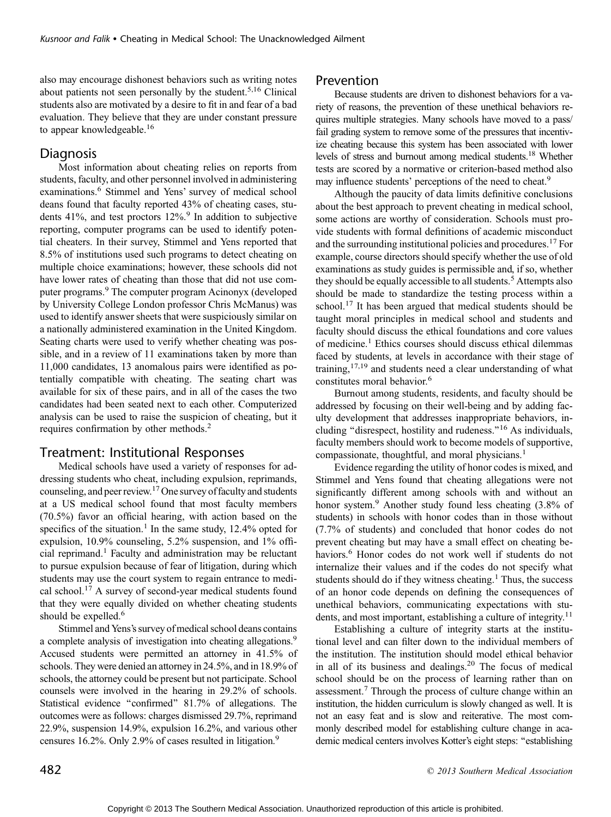also may encourage dishonest behaviors such as writing notes about patients not seen personally by the student.5,16 Clinical students also are motivated by a desire to fit in and fear of a bad evaluation. They believe that they are under constant pressure to appear knowledgeable.<sup>16</sup>

### Diagnosis

Most information about cheating relies on reports from students, faculty, and other personnel involved in administering examinations.<sup>6</sup> Stimmel and Yens' survey of medical school deans found that faculty reported 43% of cheating cases, students  $41\%$ , and test proctors  $12\%$ . In addition to subjective reporting, computer programs can be used to identify potential cheaters. In their survey, Stimmel and Yens reported that 8.5% of institutions used such programs to detect cheating on multiple choice examinations; however, these schools did not have lower rates of cheating than those that did not use computer programs.<sup>9</sup> The computer program Acinonyx (developed by University College London professor Chris McManus) was used to identify answer sheets that were suspiciously similar on a nationally administered examination in the United Kingdom. Seating charts were used to verify whether cheating was possible, and in a review of 11 examinations taken by more than 11,000 candidates, 13 anomalous pairs were identified as potentially compatible with cheating. The seating chart was available for six of these pairs, and in all of the cases the two candidates had been seated next to each other. Computerized analysis can be used to raise the suspicion of cheating, but it requires confirmation by other methods.<sup>2</sup>

# Treatment: Institutional Responses

Medical schools have used a variety of responses for addressing students who cheat, including expulsion, reprimands, counseling, and peer review.17One survey of faculty and students at a US medical school found that most faculty members (70.5%) favor an official hearing, with action based on the specifics of the situation.<sup>1</sup> In the same study, 12.4% opted for expulsion, 10.9% counseling, 5.2% suspension, and 1% official reprimand.<sup>1</sup> Faculty and administration may be reluctant to pursue expulsion because of fear of litigation, during which students may use the court system to regain entrance to medical school.<sup>17</sup> A survey of second-year medical students found that they were equally divided on whether cheating students should be expelled.<sup>6</sup>

Stimmel and Yens's survey of medical school deans contains a complete analysis of investigation into cheating allegations.<sup>9</sup> Accused students were permitted an attorney in 41.5% of schools. They were denied an attorney in 24.5%, and in 18.9% of schools, the attorney could be present but not participate. School counsels were involved in the hearing in 29.2% of schools. Statistical evidence "confirmed" 81.7% of allegations. The outcomes were as follows: charges dismissed 29.7%, reprimand 22.9%, suspension 14.9%, expulsion 16.2%, and various other censures 16.2%. Only 2.9% of cases resulted in litigation.9

#### Prevention

Because students are driven to dishonest behaviors for a variety of reasons, the prevention of these unethical behaviors requires multiple strategies. Many schools have moved to a pass/ fail grading system to remove some of the pressures that incentivize cheating because this system has been associated with lower levels of stress and burnout among medical students.18 Whether tests are scored by a normative or criterion-based method also may influence students' perceptions of the need to cheat.<sup>9</sup>

Although the paucity of data limits definitive conclusions about the best approach to prevent cheating in medical school, some actions are worthy of consideration. Schools must provide students with formal definitions of academic misconduct and the surrounding institutional policies and procedures.<sup>17</sup> For example, course directors should specify whether the use of old examinations as study guides is permissible and, if so, whether they should be equally accessible to all students.<sup>5</sup> Attempts also should be made to standardize the testing process within a school.<sup>17</sup> It has been argued that medical students should be taught moral principles in medical school and students and faculty should discuss the ethical foundations and core values of medicine.<sup>1</sup> Ethics courses should discuss ethical dilemmas faced by students, at levels in accordance with their stage of training,  $17,19$  and students need a clear understanding of what constitutes moral behavior.<sup>6</sup>

Burnout among students, residents, and faculty should be addressed by focusing on their well-being and by adding faculty development that addresses inappropriate behaviors, including ''disrespect, hostility and rudeness.''<sup>16</sup> As individuals, faculty members should work to become models of supportive, compassionate, thoughtful, and moral physicians.<sup>1</sup>

Evidence regarding the utility of honor codes is mixed, and Stimmel and Yens found that cheating allegations were not significantly different among schools with and without an honor system.<sup>9</sup> Another study found less cheating (3.8% of students) in schools with honor codes than in those without (7.7% of students) and concluded that honor codes do not prevent cheating but may have a small effect on cheating behaviors.<sup>6</sup> Honor codes do not work well if students do not internalize their values and if the codes do not specify what students should do if they witness cheating.<sup>1</sup> Thus, the success of an honor code depends on defining the consequences of unethical behaviors, communicating expectations with students, and most important, establishing a culture of integrity.<sup>11</sup>

Establishing a culture of integrity starts at the institutional level and can filter down to the individual members of the institution. The institution should model ethical behavior in all of its business and dealings. $20$  The focus of medical school should be on the process of learning rather than on assessment.<sup>7</sup> Through the process of culture change within an institution, the hidden curriculum is slowly changed as well. It is not an easy feat and is slow and reiterative. The most commonly described model for establishing culture change in academic medical centers involves Kotter's eight steps: ''establishing